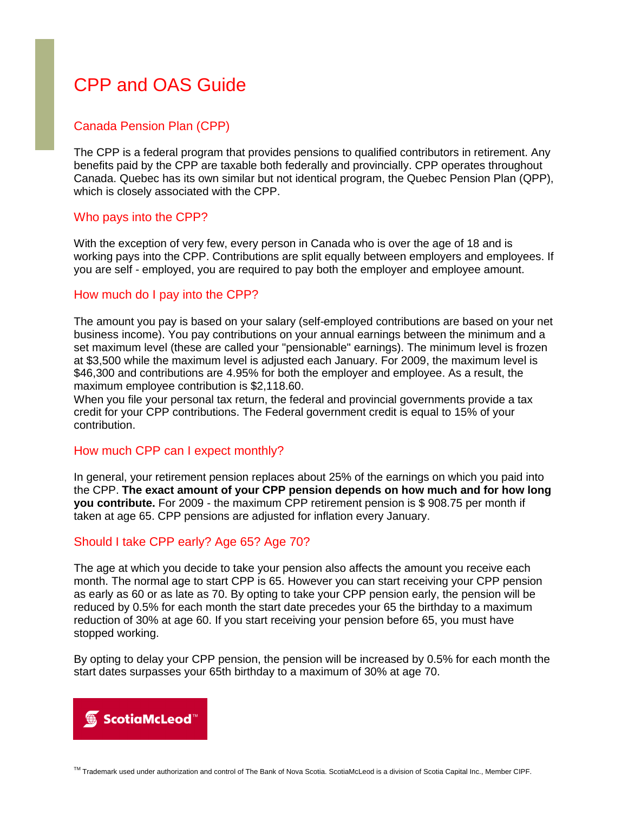# CPP and OAS Guide

## Canada Pension Plan (CPP)

The CPP is a federal program that provides pensions to qualified contributors in retirement. Any benefits paid by the CPP are taxable both federally and provincially. CPP operates throughout Canada. Quebec has its own similar but not identical program, the Quebec Pension Plan (QPP), which is closely associated with the CPP.

#### Who pays into the CPP?

With the exception of very few, every person in Canada who is over the age of 18 and is working pays into the CPP. Contributions are split equally between employers and employees. If you are self - employed, you are required to pay both the employer and employee amount.

## How much do I pay into the CPP?

The amount you pay is based on your salary (self-employed contributions are based on your net business income). You pay contributions on your annual earnings between the minimum and a set maximum level (these are called your "pensionable" earnings). The minimum level is frozen at \$3,500 while the maximum level is adjusted each January. For 2009, the maximum level is \$46,300 and contributions are 4.95% for both the employer and employee. As a result, the maximum employee contribution is \$2,118.60.

When you file your personal tax return, the federal and provincial governments provide a tax credit for your CPP contributions. The Federal government credit is equal to 15% of your contribution.

## How much CPP can I expect monthly?

In general, your retirement pension replaces about 25% of the earnings on which you paid into the CPP. **The exact amount of your CPP pension depends on how much and for how long you contribute.** For 2009 - the maximum CPP retirement pension is \$ 908.75 per month if taken at age 65. CPP pensions are adjusted for inflation every January.

#### Should I take CPP early? Age 65? Age 70?

The age at which you decide to take your pension also affects the amount you receive each month. The normal age to start CPP is 65. However you can start receiving your CPP pension as early as 60 or as late as 70. By opting to take your CPP pension early, the pension will be reduced by 0.5% for each month the start date precedes your 65 the birthday to a maximum reduction of 30% at age 60. If you start receiving your pension before 65, you must have stopped working.

By opting to delay your CPP pension, the pension will be increased by 0.5% for each month the start dates surpasses your 65th birthday to a maximum of 30% at age 70.



TM Trademark used under authorization and control of The Bank of Nova Scotia. ScotiaMcLeod is a division of Scotia Capital Inc., Member CIPF.